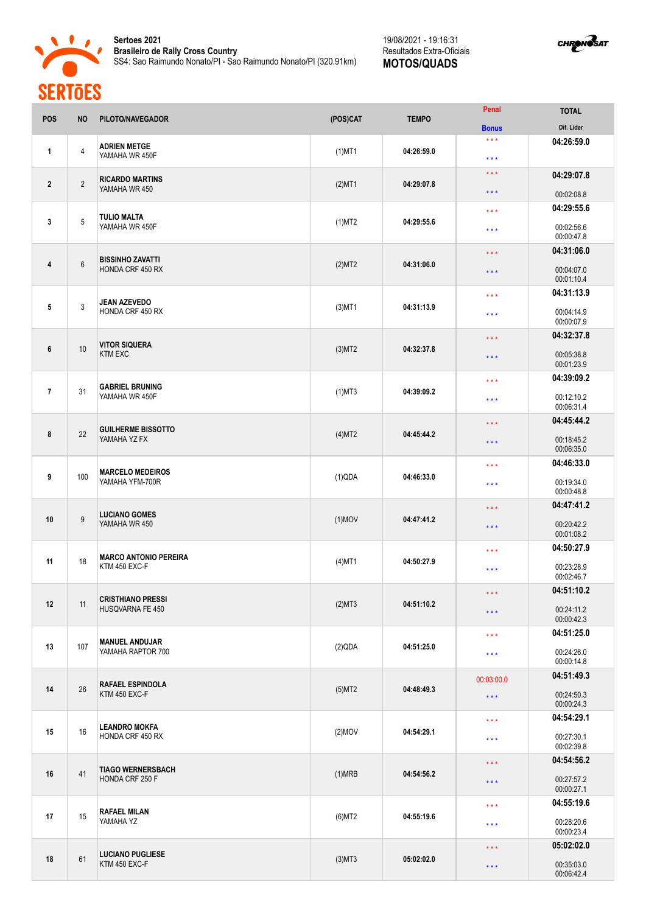

**Sertoes 2021 Brasileiro de Rally Cross Country** SS4: Sao Raimundo Nonato/PI - Sao Raimundo Nonato/PI (320.91km)

## 19/08/2021 - 19:16:31 Resultados Extra-Oficiais **MOTOS/QUADS**



| <b>POS</b>              | <b>NO</b>      | PILOTO/NAVEGADOR                                  | (POS)CAT  | <b>TEMPO</b> | Penal                                               | <b>TOTAL</b>             |
|-------------------------|----------------|---------------------------------------------------|-----------|--------------|-----------------------------------------------------|--------------------------|
|                         |                |                                                   |           |              | <b>Bonus</b>                                        | Dif. Lider               |
| 1                       | $\overline{4}$ | <b>ADRIEN METGE</b><br>YAMAHA WR 450F             | $(1)$ MT1 | 04:26:59.0   | $\star \star \star$<br>$***$                        | 04:26:59.0               |
| $\mathbf{2}$            | $\overline{2}$ | <b>RICARDO MARTINS</b><br>YAMAHA WR 450           | $(2)$ MT1 | 04:29:07.8   | $\star$ $\star$ $\star$<br>$\star$ $\star$ $\star$  | 04:29:07.8<br>00:02:08.8 |
|                         |                |                                                   |           |              | $\star$ $\star$ $\star$                             | 04:29:55.6               |
| 3                       | 5              | <b>TULIO MALTA</b><br>YAMAHA WR 450F              | (1)MT2    | 04:29:55.6   | $\star$ $\star$ $\star$                             | 00:02:56.6<br>00:00:47.8 |
|                         |                |                                                   |           |              | $\star\star\star$                                   | 04:31:06.0               |
| 4                       | $6\,$          | <b>BISSINHO ZAVATTI</b><br>HONDA CRF 450 RX       | (2)MT2    | 04:31:06.0   | $\star$ $\star$ $\star$                             | 00:04:07.0<br>00:01:10.4 |
|                         |                |                                                   |           |              | $***$                                               | 04:31:13.9               |
| 5                       | 3              | <b>JEAN AZEVEDO</b><br>HONDA CRF 450 RX           | $(3)$ MT1 | 04:31:13.9   | $\star$ $\star$ $\star$                             | 00:04:14.9<br>00:00:07.9 |
|                         |                |                                                   |           |              | $\star\star\star$                                   | 04:32:37.8               |
| 6                       | 10             | <b>VITOR SIQUERA</b><br><b>KTM EXC</b>            | $(3)$ MT2 | 04:32:37.8   | $***$                                               | 00:05:38.8<br>00:01:23.9 |
|                         |                | <b>GABRIEL BRUNING</b>                            |           |              | $***$                                               | 04:39:09.2               |
| $\overline{\mathbf{r}}$ | 31             | YAMAHA WR 450F                                    | $(1)$ MT3 | 04:39:09.2   | $***$                                               | 00:12:10.2<br>00:06:31.4 |
|                         |                | <b>GUILHERME BISSOTTO</b>                         |           |              | $\star\star\star$                                   | 04:45:44.2               |
| 8                       | 22             | YAMAHA YZ FX                                      | (4)MT2    | 04:45:44.2   | $\star$ $\star$ $\star$                             | 00:18:45.2<br>00:06:35.0 |
|                         |                | <b>MARCELO MEDEIROS</b>                           |           |              | $\star$ $\star$ $\star$                             | 04:46:33.0               |
| 9                       | 100            | YAMAHA YFM-700R                                   | (1)QDA    | 04:46:33.0   | $***$                                               | 00:19:34.0<br>00:00:48.8 |
|                         |                | <b>LUCIANO GOMES</b>                              |           |              | 04:47:41.2<br>$\star$ $\star$ $\star$               |                          |
| 10                      | $9\,$          | YAMAHA WR 450                                     | $(1)$ MOV | 04:47:41.2   | $\star$ $\star$ $\star$                             | 00:20:42.2<br>00:01:08.2 |
|                         |                | <b>MARCO ANTONIO PEREIRA</b>                      |           |              | 04:50:27.9<br>$\star\star\star$                     |                          |
| 11                      | 18             | KTM 450 EXC-F                                     | $(4)$ MT1 | 04:50:27.9   | $***$                                               | 00:23:28.9<br>00:02:46.7 |
|                         |                | <b>CRISTHIANO PRESSI</b>                          |           |              | $\star\star\star$                                   | 04:51:10.2               |
| 12                      | 11             | HUSQVARNA FE 450                                  | (2)MT3    | 04:51:10.2   | $***$                                               | 00:24:11.2<br>00:00:42.3 |
|                         |                | <b>MANUEL ANDUJAR</b>                             |           | 04:51:25.0   | $\star\star\star$                                   | 04:51:25.0               |
| 13                      | 107            | YAMAHA RAPTOR 700                                 | (2)QDA    |              | $\star$ $\star$ $\star$                             | 00:24:26.0<br>00:00:14.8 |
|                         | 26             | <b>RAFAEL ESPINDOLA</b><br>KTM 450 EXC-F          |           |              | 00:03:00.0<br>04:48:49.3<br>$\star$ $\star$ $\star$ | 04:51:49.3               |
| 14                      |                |                                                   | (5)MT2    |              |                                                     | 00:24:50.3<br>00:00:24.3 |
|                         | 16             | <b>LEANDRO MOKFA</b><br>HONDA CRF 450 RX          |           |              | $\star\star\star$                                   | 04:54:29.1               |
| 15                      |                |                                                   | $(2)$ MOV | 04:54:29.1   | $\star$ $\star$ $\star$                             | 00:27:30.1<br>00:02:39.8 |
|                         |                | <b>TIAGO WERNERSBACH</b><br>41<br>HONDA CRF 250 F |           |              | $\star\star\star$                                   | 04:54:56.2               |
| 16                      |                |                                                   | (1)MRB    | 04:54:56.2   | $\star$ $\star$ $\star$                             | 00:27:57.2<br>00:00:27.1 |
|                         |                | <b>RAFAEL MILAN</b><br>15<br>YAMAHA YZ            |           |              | $\star$ $\star$ $\star$                             | 04:55:19.6               |
| 17                      |                |                                                   | $(6)$ MT2 | 04:55:19.6   | $\star\star\star$                                   | 00:28:20.6<br>00:00:23.4 |
| 18                      | 61             | <b>LUCIANO PUGLIESE</b><br>KTM 450 EXC-F          |           |              | $\star\star\star$                                   | 05:02:02.0               |
|                         |                |                                                   | $(3)$ MT3 | 05:02:02.0   | $\star\star\star$                                   | 00:35:03.0<br>00:06:42.4 |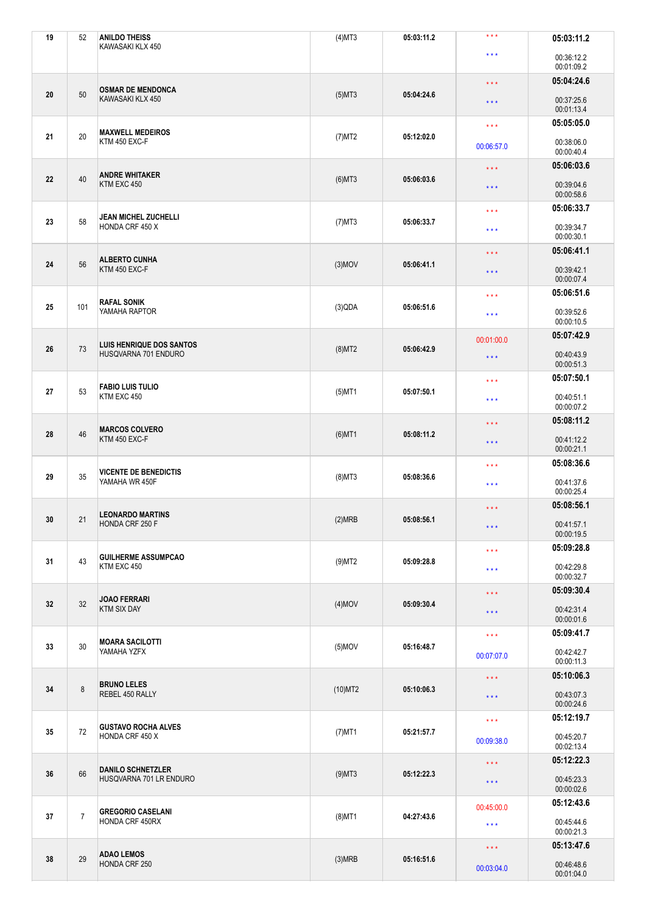| 19 | 52             | <b>ANILDO THEISS</b><br>KAWASAKI KLX 450            | $(4)$ MT3  | 05:03:11.2                        | $***$                                 | 05:03:11.2               |                         |            |
|----|----------------|-----------------------------------------------------|------------|-----------------------------------|---------------------------------------|--------------------------|-------------------------|------------|
|    |                |                                                     |            |                                   | $\star$ $\star$ $\star$               | 00:36:12.2<br>00:01:09.2 |                         |            |
|    |                |                                                     |            |                                   | $\star \star \star$                   | 05:04:24.6               |                         |            |
| 20 | 50             | <b>OSMAR DE MENDONCA</b><br>KAWASAKI KLX 450        | $(5)$ MT3  | 05:04:24.6                        | $\star$ $\star$ $\star$               | 00:37:25.6<br>00:01:13.4 |                         |            |
|    |                | <b>MAXWELL MEDEIROS</b>                             |            |                                   | $\star\star\star$                     | 05:05:05.0               |                         |            |
| 21 | 20             | KTM 450 EXC-F                                       | $(7)$ MT2  | 05:12:02.0                        | 00:06:57.0                            | 00:38:06.0<br>00:00:40.4 |                         |            |
|    |                | <b>ANDRE WHITAKER</b>                               |            |                                   | $\star$ $\star$ $\star$               | 05:06:03.6               |                         |            |
| 22 | 40             | KTM EXC 450                                         | $(6)$ MT3  | 05:06:03.6                        | $\star$ $\star$ $\star$               | 00:39:04.6<br>00:00:58.6 |                         |            |
|    |                | <b>JEAN MICHEL ZUCHELLI</b>                         |            |                                   | $\star\star\star$                     | 05:06:33.7               |                         |            |
| 23 | 58             | HONDA CRF 450 X                                     | $(7)$ MT3  | 05:06:33.7                        | $***$                                 | 00:39:34.7<br>00:00:30.1 |                         |            |
|    |                | <b>ALBERTO CUNHA</b>                                |            |                                   | $\star$ $\star$ $\star$               | 05:06:41.1               |                         |            |
| 24 | 56             | KTM 450 EXC-F                                       | $(3)$ MOV  | 05:06:41.1                        | $\star$ $\star$ $\star$               | 00:39:42.1<br>00:00:07.4 |                         |            |
|    |                | <b>RAFAL SONIK</b>                                  |            |                                   | $\star\star\star$                     | 05:06:51.6               |                         |            |
| 25 | 101            | YAMAHA RAPTOR                                       | (3)QDA     | 05:06:51.6                        | $***$                                 | 00:39:52.6<br>00:00:10.5 |                         |            |
|    |                | <b>LUIS HENRIQUE DOS SANTOS</b>                     |            |                                   | 00:01:00.0                            | 05:07:42.9               |                         |            |
| 26 | 73             | HUSQVARNA 701 ENDURO                                | $(8)$ MT2  | 05:06:42.9                        | $\star\star\star$                     | 00:40:43.9<br>00:00:51.3 |                         |            |
|    |                | <b>FABIO LUIS TULIO</b>                             |            |                                   | $\star\star\star$                     | 05:07:50.1               |                         |            |
| 27 | 53             | KTM EXC 450                                         | $(5)$ MT1  | 05:07:50.1                        | $\star$ $\star$ $\star$               | 00:40:51.1<br>00:00:07.2 |                         |            |
|    |                | <b>MARCOS COLVERO</b>                               |            |                                   | $\star$ $\star$ $\star$               | 05:08:11.2               |                         |            |
| 28 | 46             | KTM 450 EXC-F                                       | $(6)$ MT1  | 05:08:11.2                        | $\star$ $\star$ $\star$               | 00:41:12.2<br>00:00:21.1 |                         |            |
|    |                | <b>VICENTE DE BENEDICTIS</b>                        |            |                                   | $\star$ $\star$ $\star$               | 05:08:36.6               |                         |            |
| 29 | 35             | YAMAHA WR 450F                                      | $(8)$ MT3  | 05:08:36.6                        | $\star$ $\star$ $\star$               | 00:41:37.6<br>00:00:25.4 |                         |            |
|    |                | <b>LEONARDO MARTINS</b>                             |            |                                   | 05:08:56.1<br>$\star$ $\star$ $\star$ |                          |                         |            |
| 30 | 21             | HONDA CRF 250 F                                     | (2)MRB     | 05:08:56.1                        | $\star$ $\star$ $\star$               | 00:41:57.1<br>00:00:19.5 |                         |            |
|    |                | <b>GUILHERME ASSUMPCAO</b>                          |            |                                   | $\star\star\star$                     | 05:09:28.8               |                         |            |
| 31 | 43             | KTM EXC 450                                         | $(9)$ MT2  | 05:09:28.8                        | $***$                                 | 00:42:29.8<br>00:00:32.7 |                         |            |
|    |                |                                                     |            |                                   | $\star\star\star$                     | 05:09:30.4               |                         |            |
| 32 | 32             | <b>JOAO FERRARI</b><br><b>KTM SIX DAY</b>           | $(4)$ MOV  | 05:09:30.4                        | $\star$ $\star$ $\star$               | 00:42:31.4               |                         |            |
|    |                |                                                     |            |                                   |                                       | 00:00:01.6<br>05:09:41.7 |                         |            |
| 33 | 30             | <b>MOARA SACILOTTI</b><br>YAMAHA YZFX               | $(5)$ MOV  | $\star \star \star$<br>05:16:48.7 |                                       |                          |                         |            |
|    |                |                                                     |            |                                   | 00:07:07.0                            | 00:42:42.7<br>00:00:11.3 |                         |            |
|    | $\bf 8$        | <b>BRUNO LELES</b><br>REBEL 450 RALLY               |            |                                   | $\star\star\star$                     | 05:10:06.3               |                         |            |
| 34 |                |                                                     | $(10)$ MT2 | 05:10:06.3                        | $\star$ $\star$ $\star$               | 00:43:07.3<br>00:00:24.6 |                         |            |
|    |                | <b>GUSTAVO ROCHA ALVES</b><br>HONDA CRF 450 X       |            |                                   | $\star\star\star$                     | 05:12:19.7               |                         |            |
| 35 | $72\,$         |                                                     | $(7)$ MT1  | 05:21:57.7                        | 00:09:38.0                            | 00:45:20.7<br>00:02:13.4 |                         |            |
|    | 66             | <b>DANILO SCHNETZLER</b><br>HUSQVARNA 701 LR ENDURO |            |                                   | $\star$ $\star$ $\star$               | 05:12:22.3               |                         |            |
| 36 |                |                                                     | $(9)$ MT3  | 05:12:22.3                        | * * *                                 | 00:45:23.3<br>00:00:02.6 |                         |            |
|    |                |                                                     |            | 00:45:00.0                        |                                       | 05:12:43.6               |                         |            |
| 37 | $\overline{7}$ | <b>GREGORIO CASELANI</b><br>HONDA CRF 450RX         | $(8)$ MT1  | 04:27:43.6                        | $\star \star \star$                   | 00:45:44.6<br>00:00:21.3 |                         |            |
|    | 29             |                                                     |            |                                   |                                       |                          | $\star$ $\star$ $\star$ | 05:13:47.6 |
| 38 |                | <b>ADAO LEMOS</b><br>HONDA CRF 250                  | (3)MRB     | 05:16:51.6<br>00:03:04.0          | 00:46:48.6<br>00:01:04.0              |                          |                         |            |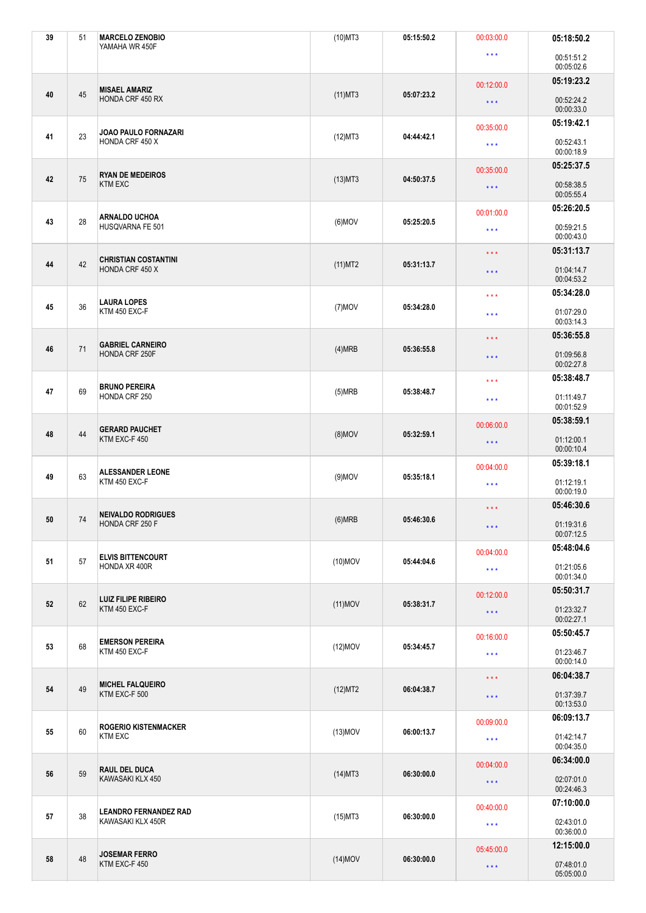| 39 | 51 | <b>MARCELO ZENOBIO</b><br>YAMAHA WR 450F          | $(10)$ MT3               | 05:15:50.2 | 00:03:00.0                                                                       | 05:18:50.2               |
|----|----|---------------------------------------------------|--------------------------|------------|----------------------------------------------------------------------------------|--------------------------|
|    |    |                                                   |                          |            | $\star\star\star$                                                                | 00:51:51.2<br>00:05:02.6 |
|    |    | <b>MISAEL AMARIZ</b>                              |                          |            | 00:12:00.0                                                                       | 05:19:23.2               |
| 40 | 45 | HONDA CRF 450 RX                                  | $(11)$ MT3               | 05:07:23.2 | $\star\star\star$                                                                | 00:52:24.2<br>00:00:33.0 |
|    |    | JOAO PAULO FORNAZARI                              |                          | 04:44:42.1 | 00:35:00.0                                                                       | 05:19:42.1               |
| 41 | 23 | HONDA CRF 450 X                                   | $(12)$ MT3               |            | $\star\star\star$                                                                | 00:52:43.1<br>00:00:18.9 |
| 42 | 75 | <b>RYAN DE MEDEIROS</b>                           |                          | 04:50:37.5 | 00:35:00.0                                                                       | 05:25:37.5               |
|    |    | <b>KTM EXC</b>                                    | $(13)$ MT3               |            | $\star\star\star$                                                                | 00:58:38.5<br>00:05:55.4 |
| 43 | 28 | <b>ARNALDO UCHOA</b>                              | $(6)$ MOV                | 05:25:20.5 | 00:01:00.0                                                                       | 05:26:20.5               |
|    |    | HUSQVARNA FE 501                                  |                          |            | $\star$ $\star$ $\star$                                                          | 00:59:21.5<br>00:00:43.0 |
| 44 | 42 | <b>CHRISTIAN COSTANTINI</b>                       |                          | 05:31:13.7 | $\star$ $\star$ $\star$                                                          | 05:31:13.7               |
|    |    | HONDA CRF 450 X                                   | $(11)$ MT2               |            | $\star$ $\star$ $\star$                                                          | 01:04:14.7<br>00:04:53.2 |
|    |    | <b>LAURA LOPES</b>                                |                          |            | $\star$ $\star$ $\star$                                                          | 05:34:28.0               |
| 45 | 36 | KTM 450 EXC-F                                     | $(7)$ MOV                | 05:34:28.0 | $\star$ $\star$ $\star$                                                          | 01:07:29.0<br>00:03:14.3 |
|    |    | <b>GABRIEL CARNEIRO</b>                           |                          |            | $\star$ $\star$ $\star$                                                          | 05:36:55.8               |
| 46 | 71 | HONDA CRF 250F                                    | (4)MRB                   | 05:36:55.8 | $\star\star\star$                                                                | 01:09:56.8<br>00:02:27.8 |
|    |    | <b>BRUNO PEREIRA</b>                              |                          |            | 05:38:48.7<br>$\star\star\star$<br>01:11:49.7<br>$\star\star\star$<br>00:01:52.9 |                          |
| 47 | 69 | HONDA CRF 250                                     | (5)MRB                   | 05:38:48.7 |                                                                                  |                          |
|    | 44 | <b>GERARD PAUCHET</b><br>KTM EXC-F 450            |                          |            | 05:38:59.1<br>00:06:00.0                                                         |                          |
| 48 |    |                                                   | $(8)$ MOV                | 05:32:59.1 | $\star$ $\star$ $\star$                                                          | 01:12:00.1<br>00:00:10.4 |
|    |    | <b>ALESSANDER LEONE</b>                           |                          |            | 05:39:18.1<br>00:04:00.0                                                         |                          |
| 49 | 63 | KTM 450 EXC-F                                     | $(9)$ MOV                | 05:35:18.1 | $\star\star\star$                                                                | 01:12:19.1<br>00:00:19.0 |
|    |    | <b>NEIVALDO RODRIGUES</b>                         |                          |            | 05:46:30.6<br>$\star\star\star$                                                  |                          |
| 50 | 74 | HONDA CRF 250 F                                   | (6)MRB                   | 05:46:30.6 | $\star\star\star$                                                                | 01:19:31.6<br>00:07:12.5 |
| 51 | 57 | <b>ELVIS BITTENCOURT</b>                          | 05:44:04.6<br>$(10)$ MOV |            | 00:04:00.0                                                                       | 05:48:04.6               |
|    |    | HONDA XR 400R                                     |                          |            | $\star\star\star$                                                                | 01:21:05.6<br>00:01:34.0 |
|    |    |                                                   |                          |            | 00:12:00.0                                                                       | 05:50:31.7               |
| 52 | 62 | <b>LUIZ FILIPE RIBEIRO</b><br>KTM 450 EXC-F       | $(11)$ MOV               | 05:38:31.7 | $\star\star\star$                                                                | 01:23:32.7<br>00:02:27.1 |
|    |    |                                                   |                          |            | 00:16:00.0                                                                       | 05:50:45.7               |
| 53 | 68 | <b>EMERSON PEREIRA</b><br>KTM 450 EXC-F           | $(12)$ MOV               | 05:34:45.7 | $\star\star\star$                                                                | 01:23:46.7<br>00:00:14.0 |
|    | 49 | <b>MICHEL FALQUEIRO</b><br>KTM EXC-F 500          |                          |            | $\star$ $\star$ $\star$                                                          | 06:04:38.7               |
| 54 |    |                                                   | (12)MT2                  | 06:04:38.7 | $\star$ $\star$ $\star$                                                          | 01:37:39.7<br>00:13:53.0 |
|    | 60 | <b>ROGERIO KISTENMACKER</b><br><b>KTM EXC</b>     |                          |            | 00:09:00.0                                                                       | 06:09:13.7               |
| 55 |    |                                                   | $(13)$ MOV               | 06:00:13.7 | $\star\star\star$                                                                | 01:42:14.7<br>00:04:35.0 |
|    | 59 | <b>RAUL DEL DUCA</b><br>KAWASAKI KLX 450          |                          |            | 00:04:00.0                                                                       | 06:34:00.0               |
| 56 |    |                                                   | $(14)$ MT3               | 06:30:00.0 | $\star\star\star$                                                                | 02:07:01.0<br>00:24:46.3 |
|    |    |                                                   |                          |            | 00:40:00.0                                                                       | 07:10:00.0               |
| 57 | 38 | <b>LEANDRO FERNANDEZ RAD</b><br>KAWASAKI KLX 450R | $(15)$ MT3               | 06:30:00.0 | $\star\star\star$                                                                | 02:43:01.0<br>00:36:00.0 |
|    | 48 | <b>JOSEMAR FERRO</b><br>KTM EXC-F 450             |                          | 06:30:00.0 | 05:45:00.0                                                                       | 12:15:00.0               |
| 58 |    |                                                   | $(14)$ MOV               |            | $\star\star\star$                                                                | 07:48:01.0<br>05:05:00.0 |